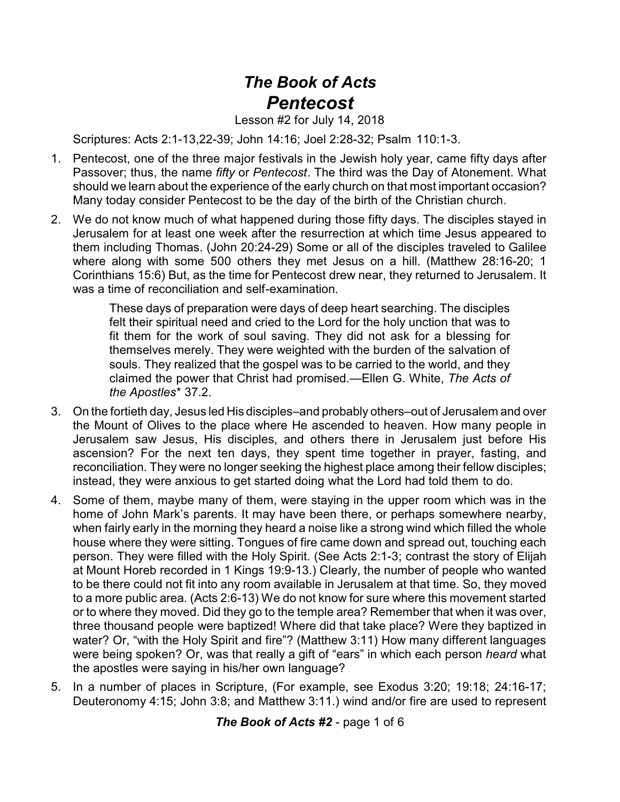## *The Book of Acts Pentecost*

Lesson #2 for July 14, 2018

Scriptures: Acts 2:1-13,22-39; John 14:16; Joel 2:28-32; Psalm 110:1-3.

- 1. Pentecost, one of the three major festivals in the Jewish holy year, came fifty days after Passover; thus, the name *fifty* or *Pentecost*. The third was the Day of Atonement. What should we learn about the experience of the early church on that most important occasion? Many today consider Pentecost to be the day of the birth of the Christian church.
- 2. We do not know much of what happened during those fifty days. The disciples stayed in Jerusalem for at least one week after the resurrection at which time Jesus appeared to them including Thomas. (John 20:24-29) Some or all of the disciples traveled to Galilee where along with some 500 others they met Jesus on a hill. (Matthew 28:16-20; 1 Corinthians 15:6) But, as the time for Pentecost drew near, they returned to Jerusalem. It was a time of reconciliation and self-examination.

These days of preparation were days of deep heart searching. The disciples felt their spiritual need and cried to the Lord for the holy unction that was to fit them for the work of soul saving. They did not ask for a blessing for themselves merely. They were weighted with the burden of the salvation of souls. They realized that the gospel was to be carried to the world, and they claimed the power that Christ had promised.—Ellen G. White, *The Acts of the Apostles*\* 37.2.

- 3. On the fortieth day, Jesus led His disciples–and probably others–out of Jerusalem and over the Mount of Olives to the place where He ascended to heaven. How many people in Jerusalem saw Jesus, His disciples, and others there in Jerusalem just before His ascension? For the next ten days, they spent time together in prayer, fasting, and reconciliation. They were no longer seeking the highest place among their fellow disciples; instead, they were anxious to get started doing what the Lord had told them to do.
- 4. Some of them, maybe many of them, were staying in the upper room which was in the home of John Mark's parents. It may have been there, or perhaps somewhere nearby, when fairly early in the morning they heard a noise like a strong wind which filled the whole house where they were sitting. Tongues of fire came down and spread out, touching each person. They were filled with the Holy Spirit. (See Acts 2:1-3; contrast the story of Elijah at Mount Horeb recorded in 1 Kings 19:9-13.) Clearly, the number of people who wanted to be there could not fit into any room available in Jerusalem at that time. So, they moved to a more public area. (Acts 2:6-13) We do not know for sure where this movement started or to where they moved. Did they go to the temple area? Remember that when it was over, three thousand people were baptized! Where did that take place? Were they baptized in water? Or, "with the Holy Spirit and fire"? (Matthew 3:11) How many different languages were being spoken? Or, was that really a gift of "ears" in which each person *heard* what the apostles were saying in his/her own language?
- 5. In a number of places in Scripture, (For example, see Exodus 3:20; 19:18; 24:16-17; Deuteronomy 4:15; John 3:8; and Matthew 3:11.) wind and/or fire are used to represent

*The Book of Acts #2* - page 1 of 6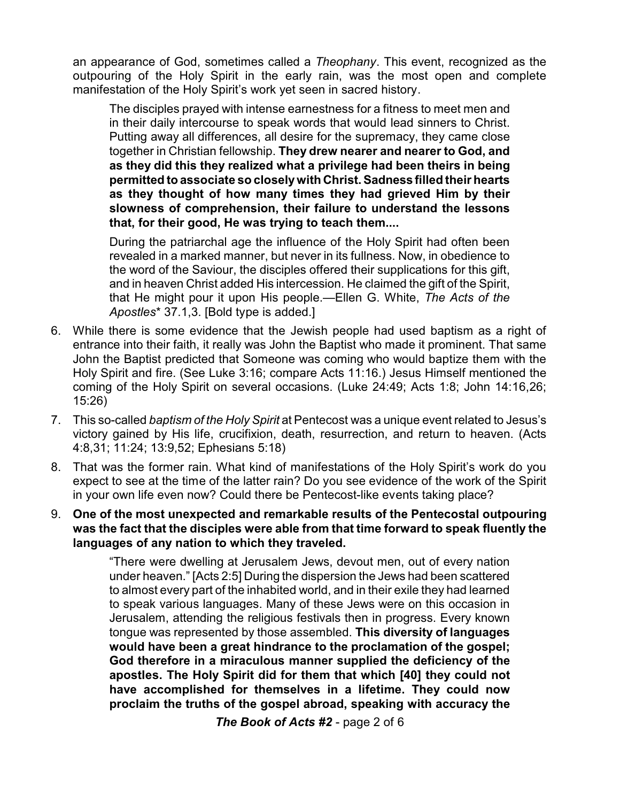an appearance of God, sometimes called a *Theophany*. This event, recognized as the outpouring of the Holy Spirit in the early rain, was the most open and complete manifestation of the Holy Spirit's work yet seen in sacred history.

The disciples prayed with intense earnestness for a fitness to meet men and in their daily intercourse to speak words that would lead sinners to Christ. Putting away all differences, all desire for the supremacy, they came close together in Christian fellowship. **They drew nearer and nearer to God, and as they did this they realized what a privilege had been theirs in being permitted to associate so closelywith Christ. Sadness filled their hearts as they thought of how many times they had grieved Him by their slowness of comprehension, their failure to understand the lessons that, for their good, He was trying to teach them....** 

During the patriarchal age the influence of the Holy Spirit had often been revealed in a marked manner, but never in its fullness. Now, in obedience to the word of the Saviour, the disciples offered their supplications for this gift, and in heaven Christ added His intercession. He claimed the gift of the Spirit, that He might pour it upon His people.—Ellen G. White, *The Acts of the Apostles*\* 37.1,3. [Bold type is added.]

- 6. While there is some evidence that the Jewish people had used baptism as a right of entrance into their faith, it really was John the Baptist who made it prominent. That same John the Baptist predicted that Someone was coming who would baptize them with the Holy Spirit and fire. (See Luke 3:16; compare Acts 11:16.) Jesus Himself mentioned the coming of the Holy Spirit on several occasions. (Luke 24:49; Acts 1:8; John 14:16,26; 15:26)
- 7. This so-called *baptism of the Holy Spirit* at Pentecost was a unique event related to Jesus's victory gained by His life, crucifixion, death, resurrection, and return to heaven. (Acts 4:8,31; 11:24; 13:9,52; Ephesians 5:18)
- 8. That was the former rain. What kind of manifestations of the Holy Spirit's work do you expect to see at the time of the latter rain? Do you see evidence of the work of the Spirit in your own life even now? Could there be Pentecost-like events taking place?
- 9. **One of the most unexpected and remarkable results of the Pentecostal outpouring was the fact that the disciples were able from that time forward to speak fluently the languages of any nation to which they traveled.**

"There were dwelling at Jerusalem Jews, devout men, out of every nation under heaven." [Acts 2:5] During the dispersion the Jews had been scattered to almost every part of the inhabited world, and in their exile they had learned to speak various languages. Many of these Jews were on this occasion in Jerusalem, attending the religious festivals then in progress. Every known tongue was represented by those assembled. **This diversity of languages would have been a great hindrance to the proclamation of the gospel; God therefore in a miraculous manner supplied the deficiency of the apostles. The Holy Spirit did for them that which [40] they could not have accomplished for themselves in a lifetime. They could now proclaim the truths of the gospel abroad, speaking with accuracy the**

*The Book of Acts #2* - page 2 of 6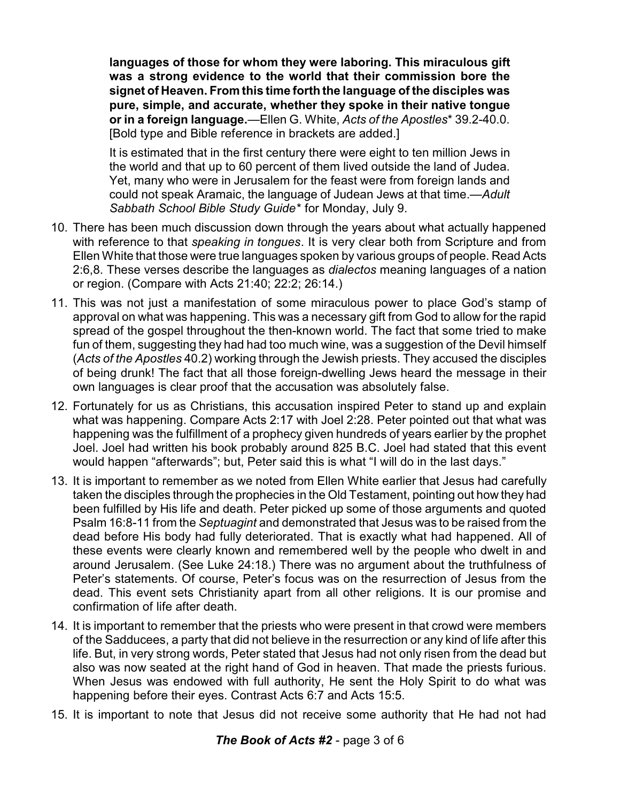**languages of those for whom they were laboring. This miraculous gift was a strong evidence to the world that their commission bore the signet of Heaven. From this time forth the language of the disciples was pure, simple, and accurate, whether they spoke in their native tongue or in a foreign language.**—Ellen G. White, *Acts of the Apostles*\* 39.2-40.0. [Bold type and Bible reference in brackets are added.]

It is estimated that in the first century there were eight to ten million Jews in the world and that up to 60 percent of them lived outside the land of Judea. Yet, many who were in Jerusalem for the feast were from foreign lands and could not speak Aramaic, the language of Judean Jews at that time.—*Adult Sabbath School Bible Study Guide*\* for Monday, July 9.

- 10. There has been much discussion down through the years about what actually happened with reference to that *speaking in tongues*. It is very clear both from Scripture and from Ellen White that those were true languages spoken by various groups of people. Read Acts 2:6,8. These verses describe the languages as *dialectos* meaning languages of a nation or region. (Compare with Acts 21:40; 22:2; 26:14.)
- 11. This was not just a manifestation of some miraculous power to place God's stamp of approval on what was happening. This was a necessary gift from God to allow for the rapid spread of the gospel throughout the then-known world. The fact that some tried to make fun of them, suggesting they had had too much wine, was a suggestion of the Devil himself (*Acts of the Apostles* 40.2) working through the Jewish priests. They accused the disciples of being drunk! The fact that all those foreign-dwelling Jews heard the message in their own languages is clear proof that the accusation was absolutely false.
- 12. Fortunately for us as Christians, this accusation inspired Peter to stand up and explain what was happening. Compare Acts 2:17 with Joel 2:28. Peter pointed out that what was happening was the fulfillment of a prophecy given hundreds of years earlier by the prophet Joel. Joel had written his book probably around 825 B.C. Joel had stated that this event would happen "afterwards"; but, Peter said this is what "I will do in the last days."
- 13. It is important to remember as we noted from Ellen White earlier that Jesus had carefully taken the disciples through the prophecies in the Old Testament, pointing out how they had been fulfilled by His life and death. Peter picked up some of those arguments and quoted Psalm 16:8-11 from the *Septuagint* and demonstrated that Jesus was to be raised from the dead before His body had fully deteriorated. That is exactly what had happened. All of these events were clearly known and remembered well by the people who dwelt in and around Jerusalem. (See Luke 24:18.) There was no argument about the truthfulness of Peter's statements. Of course, Peter's focus was on the resurrection of Jesus from the dead. This event sets Christianity apart from all other religions. It is our promise and confirmation of life after death.
- 14. It is important to remember that the priests who were present in that crowd were members of the Sadducees, a party that did not believe in the resurrection or any kind of life after this life. But, in very strong words, Peter stated that Jesus had not only risen from the dead but also was now seated at the right hand of God in heaven. That made the priests furious. When Jesus was endowed with full authority, He sent the Holy Spirit to do what was happening before their eyes. Contrast Acts 6:7 and Acts 15:5.
- 15. It is important to note that Jesus did not receive some authority that He had not had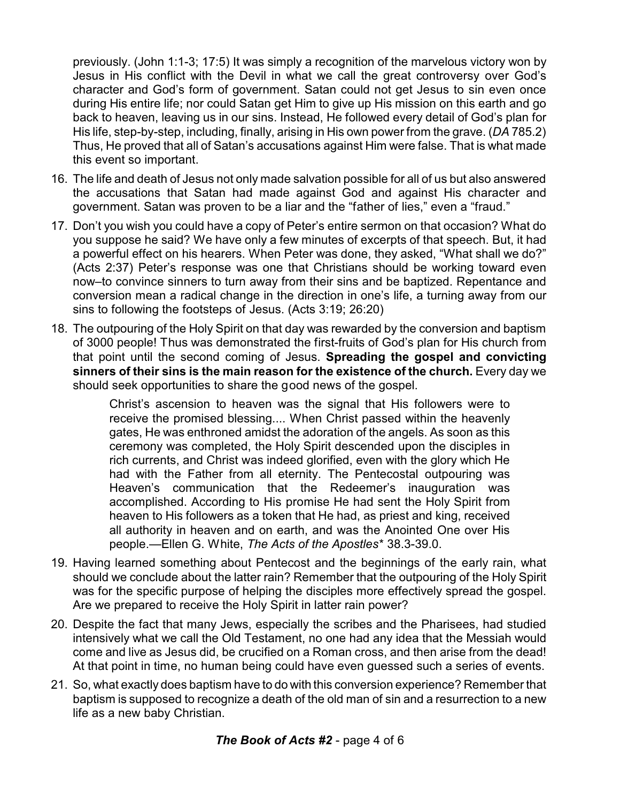previously. (John 1:1-3; 17:5) It was simply a recognition of the marvelous victory won by Jesus in His conflict with the Devil in what we call the great controversy over God's character and God's form of government. Satan could not get Jesus to sin even once during His entire life; nor could Satan get Him to give up His mission on this earth and go back to heaven, leaving us in our sins. Instead, He followed every detail of God's plan for His life, step-by-step, including, finally, arising in His own power from the grave. (*DA* 785.2) Thus, He proved that all of Satan's accusations against Him were false. That is what made this event so important.

- 16. The life and death of Jesus not only made salvation possible for all of us but also answered the accusations that Satan had made against God and against His character and government. Satan was proven to be a liar and the "father of lies," even a "fraud."
- 17. Don't you wish you could have a copy of Peter's entire sermon on that occasion? What do you suppose he said? We have only a few minutes of excerpts of that speech. But, it had a powerful effect on his hearers. When Peter was done, they asked, "What shall we do?" (Acts 2:37) Peter's response was one that Christians should be working toward even now–to convince sinners to turn away from their sins and be baptized. Repentance and conversion mean a radical change in the direction in one's life, a turning away from our sins to following the footsteps of Jesus. (Acts 3:19; 26:20)
- 18. The outpouring of the Holy Spirit on that day was rewarded by the conversion and baptism of 3000 people! Thus was demonstrated the first-fruits of God's plan for His church from that point until the second coming of Jesus. **Spreading the gospel and convicting sinners of their sins is the main reason for the existence of the church.** Every day we should seek opportunities to share the good news of the gospel.

Christ's ascension to heaven was the signal that His followers were to receive the promised blessing.... When Christ passed within the heavenly gates, He was enthroned amidst the adoration of the angels. As soon as this ceremony was completed, the Holy Spirit descended upon the disciples in rich currents, and Christ was indeed glorified, even with the glory which He had with the Father from all eternity. The Pentecostal outpouring was Heaven's communication that the Redeemer's inauguration was accomplished. According to His promise He had sent the Holy Spirit from heaven to His followers as a token that He had, as priest and king, received all authority in heaven and on earth, and was the Anointed One over His people.—Ellen G. White, *The Acts of the Apostles*\* 38.3-39.0.

- 19. Having learned something about Pentecost and the beginnings of the early rain, what should we conclude about the latter rain? Remember that the outpouring of the Holy Spirit was for the specific purpose of helping the disciples more effectively spread the gospel. Are we prepared to receive the Holy Spirit in latter rain power?
- 20. Despite the fact that many Jews, especially the scribes and the Pharisees, had studied intensively what we call the Old Testament, no one had any idea that the Messiah would come and live as Jesus did, be crucified on a Roman cross, and then arise from the dead! At that point in time, no human being could have even guessed such a series of events.
- 21. So, what exactly does baptism have to do with this conversion experience? Remember that baptism is supposed to recognize a death of the old man of sin and a resurrection to a new life as a new baby Christian.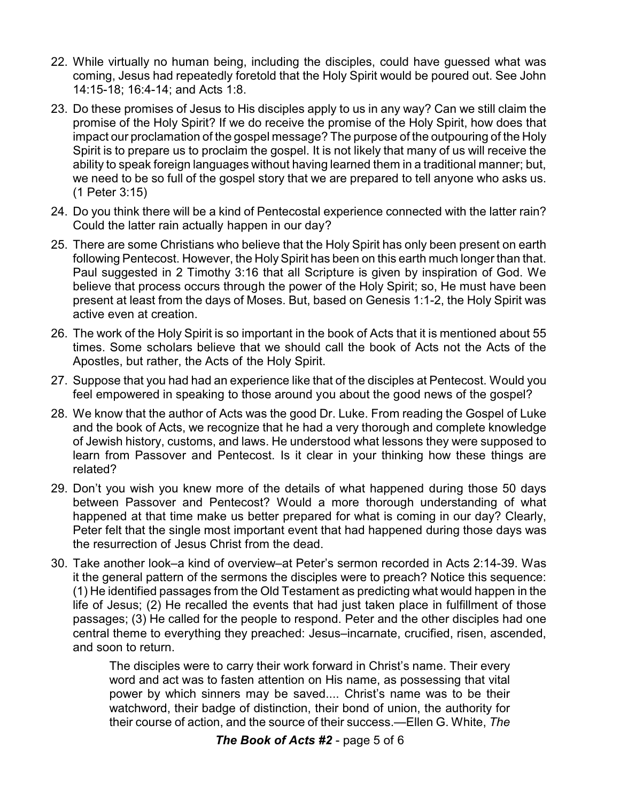- 22. While virtually no human being, including the disciples, could have guessed what was coming, Jesus had repeatedly foretold that the Holy Spirit would be poured out. See John 14:15-18; 16:4-14; and Acts 1:8.
- 23. Do these promises of Jesus to His disciples apply to us in any way? Can we still claim the promise of the Holy Spirit? If we do receive the promise of the Holy Spirit, how does that impact our proclamation of the gospel message? The purpose of the outpouring of the Holy Spirit is to prepare us to proclaim the gospel. It is not likely that many of us will receive the ability to speak foreign languages without having learned them in a traditional manner; but, we need to be so full of the gospel story that we are prepared to tell anyone who asks us. (1 Peter 3:15)
- 24. Do you think there will be a kind of Pentecostal experience connected with the latter rain? Could the latter rain actually happen in our day?
- 25. There are some Christians who believe that the Holy Spirit has only been present on earth following Pentecost. However, the Holy Spirit has been on this earth much longer than that. Paul suggested in 2 Timothy 3:16 that all Scripture is given by inspiration of God. We believe that process occurs through the power of the Holy Spirit; so, He must have been present at least from the days of Moses. But, based on Genesis 1:1-2, the Holy Spirit was active even at creation.
- 26. The work of the Holy Spirit is so important in the book of Acts that it is mentioned about 55 times. Some scholars believe that we should call the book of Acts not the Acts of the Apostles, but rather, the Acts of the Holy Spirit.
- 27. Suppose that you had had an experience like that of the disciples at Pentecost. Would you feel empowered in speaking to those around you about the good news of the gospel?
- 28. We know that the author of Acts was the good Dr. Luke. From reading the Gospel of Luke and the book of Acts, we recognize that he had a very thorough and complete knowledge of Jewish history, customs, and laws. He understood what lessons they were supposed to learn from Passover and Pentecost. Is it clear in your thinking how these things are related?
- 29. Don't you wish you knew more of the details of what happened during those 50 days between Passover and Pentecost? Would a more thorough understanding of what happened at that time make us better prepared for what is coming in our day? Clearly, Peter felt that the single most important event that had happened during those days was the resurrection of Jesus Christ from the dead.
- 30. Take another look–a kind of overview–at Peter's sermon recorded in Acts 2:14-39. Was it the general pattern of the sermons the disciples were to preach? Notice this sequence: (1) He identified passages from the Old Testament as predicting what would happen in the life of Jesus; (2) He recalled the events that had just taken place in fulfillment of those passages; (3) He called for the people to respond. Peter and the other disciples had one central theme to everything they preached: Jesus–incarnate, crucified, risen, ascended, and soon to return.

The disciples were to carry their work forward in Christ's name. Their every word and act was to fasten attention on His name, as possessing that vital power by which sinners may be saved.... Christ's name was to be their watchword, their badge of distinction, their bond of union, the authority for their course of action, and the source of their success.—Ellen G. White, *The*